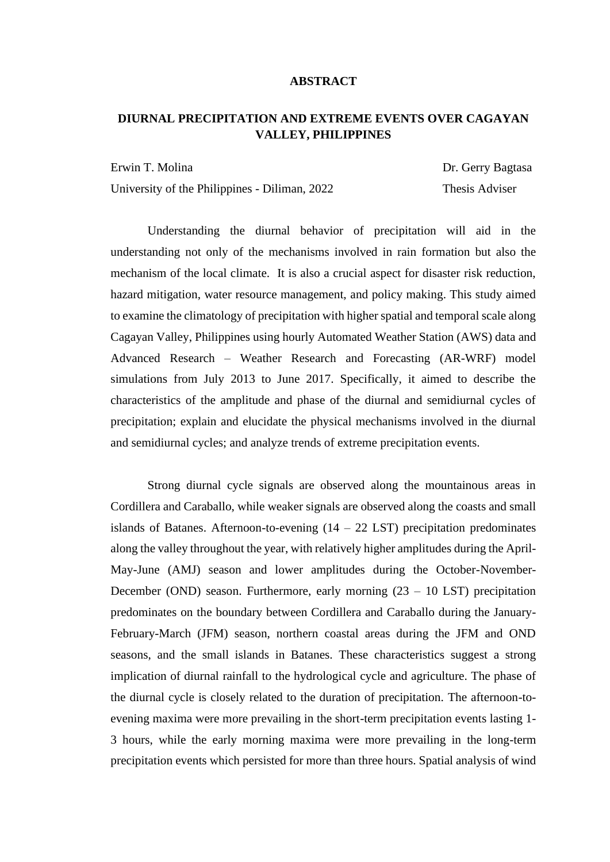## **ABSTRACT**

## **DIURNAL PRECIPITATION AND EXTREME EVENTS OVER CAGAYAN VALLEY, PHILIPPINES**

University of the Philippines - Diliman, 2022 Thesis Adviser

Erwin T. Molina Dr. Gerry Bagtasa

Understanding the diurnal behavior of precipitation will aid in the understanding not only of the mechanisms involved in rain formation but also the mechanism of the local climate. It is also a crucial aspect for disaster risk reduction, hazard mitigation, water resource management, and policy making. This study aimed to examine the climatology of precipitation with higher spatial and temporal scale along Cagayan Valley, Philippines using hourly Automated Weather Station (AWS) data and Advanced Research – Weather Research and Forecasting (AR-WRF) model simulations from July 2013 to June 2017. Specifically, it aimed to describe the characteristics of the amplitude and phase of the diurnal and semidiurnal cycles of precipitation; explain and elucidate the physical mechanisms involved in the diurnal and semidiurnal cycles; and analyze trends of extreme precipitation events.

Strong diurnal cycle signals are observed along the mountainous areas in Cordillera and Caraballo, while weaker signals are observed along the coasts and small islands of Batanes. Afternoon-to-evening  $(14 - 22 \text{ LST})$  precipitation predominates along the valley throughout the year, with relatively higher amplitudes during the April-May-June (AMJ) season and lower amplitudes during the October-November-December (OND) season. Furthermore, early morning  $(23 - 10$  LST) precipitation predominates on the boundary between Cordillera and Caraballo during the January-February-March (JFM) season, northern coastal areas during the JFM and OND seasons, and the small islands in Batanes. These characteristics suggest a strong implication of diurnal rainfall to the hydrological cycle and agriculture. The phase of the diurnal cycle is closely related to the duration of precipitation. The afternoon-toevening maxima were more prevailing in the short-term precipitation events lasting 1- 3 hours, while the early morning maxima were more prevailing in the long-term precipitation events which persisted for more than three hours. Spatial analysis of wind